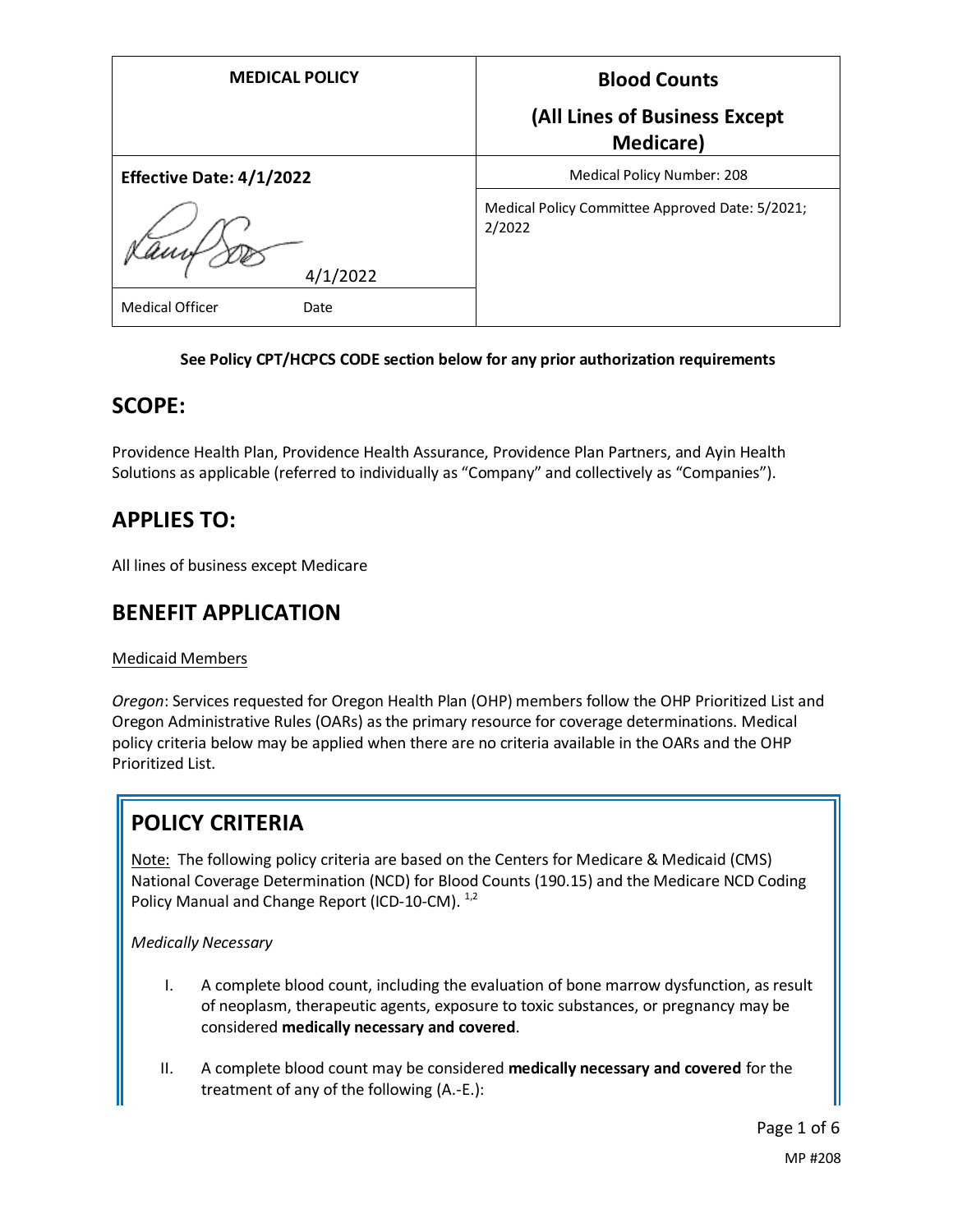| <b>MEDICAL POLICY</b>           | <b>Blood Counts</b>                                       |
|---------------------------------|-----------------------------------------------------------|
|                                 | (All Lines of Business Except<br><b>Medicare</b> )        |
| <b>Effective Date: 4/1/2022</b> | Medical Policy Number: 208                                |
| 4/1/2022                        | Medical Policy Committee Approved Date: 5/2021;<br>2/2022 |
| <b>Medical Officer</b><br>Date  |                                                           |

#### **See Policy CPT/HCPCS CODE section below for any prior authorization requirements**

#### **SCOPE:**

Providence Health Plan, Providence Health Assurance, Providence Plan Partners, and Ayin Health Solutions as applicable (referred to individually as "Company" and collectively as "Companies").

# **APPLIES TO:**

All lines of business except Medicare

## **BENEFIT APPLICATION**

#### Medicaid Members

*Oregon*: Services requested for Oregon Health Plan (OHP) members follow the OHP Prioritized List and Oregon Administrative Rules (OARs) as the primary resource for coverage determinations. Medical policy criteria below may be applied when there are no criteria available in the OARs and the OHP Prioritized List.

# **POLICY CRITERIA**

Note: The following policy criteria are based on the Centers for Medicare & Medicaid (CMS) National Coverage Determination (NCD) for Blood Counts (190.15) and the Medicare NCD Coding Policy Manual and Change Report (ICD-10-CM). <sup>1,2</sup>

#### *Medically Necessary*

- I. A complete blood count, including the evaluation of bone marrow dysfunction, as result of neoplasm, therapeutic agents, exposure to toxic substances, or pregnancy may be considered **medically necessary and covered**.
- II. A complete blood count may be considered **medically necessary and covered** for the treatment of any of the following (A.-E.):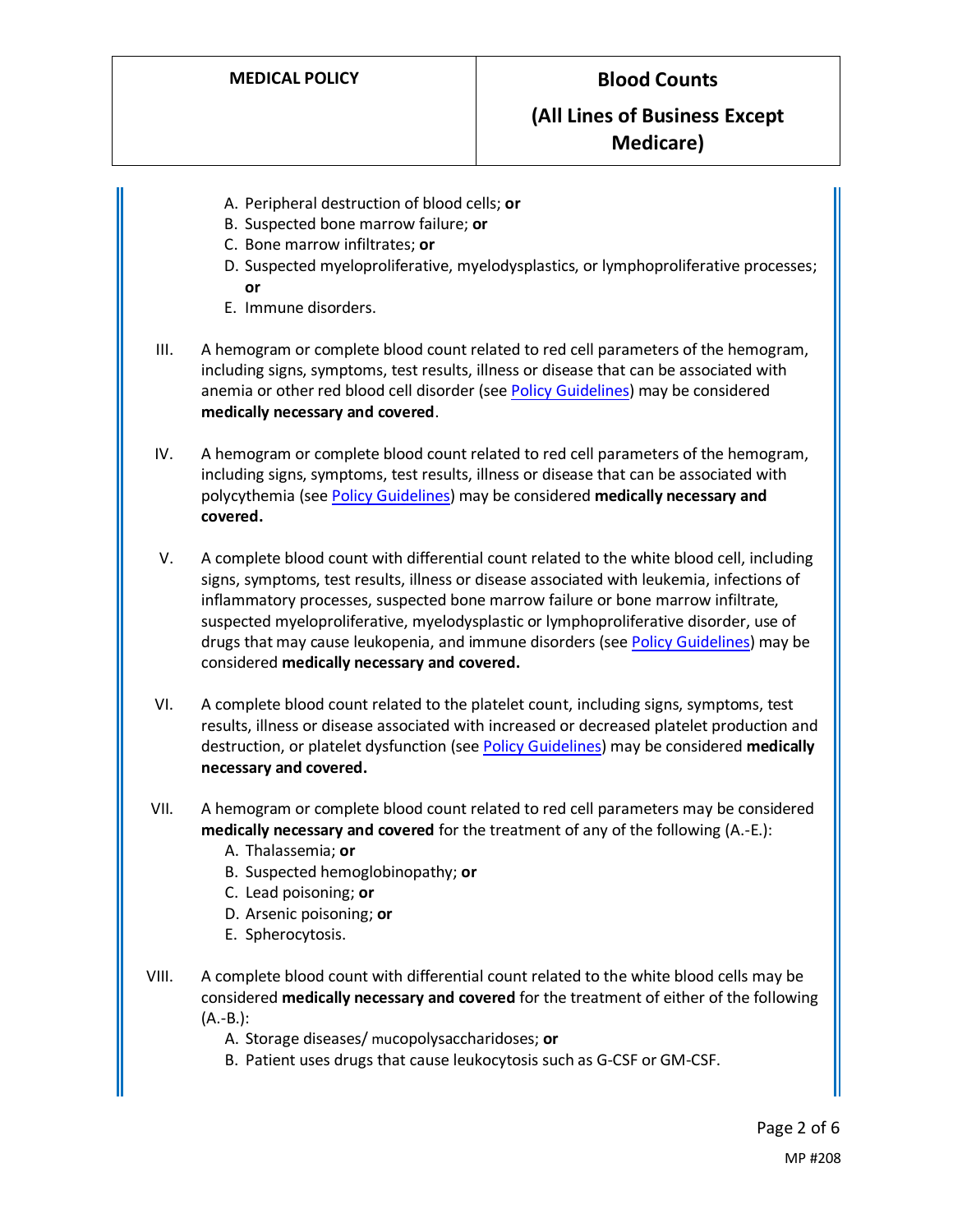- A. Peripheral destruction of blood cells; **or**
- B. Suspected bone marrow failure; **or**
- C. Bone marrow infiltrates; **or**
- D. Suspected myeloproliferative, myelodysplastics, or lymphoproliferative processes; **or**
- E. Immune disorders.
- III. A hemogram or complete blood count related to red cell parameters of the hemogram, including signs, symptoms, test results, illness or disease that can be associated with anemia or other red blood cell disorder (se[e Policy Guidelines\)](#page-2-0) may be considered **medically necessary and covered**.
- IV. A hemogram or complete blood count related to red cell parameters of the hemogram, including signs, symptoms, test results, illness or disease that can be associated with polycythemia (see [Policy Guidelines\)](#page-2-1) may be considered **medically necessary and covered.**
- V. A complete blood count with differential count related to the white blood cell, including signs, symptoms, test results, illness or disease associated with leukemia, infections of inflammatory processes, suspected bone marrow failure or bone marrow infiltrate, suspected myeloproliferative, myelodysplastic or lymphoproliferative disorder, use of drugs that may cause leukopenia, and immune disorders (se[e Policy Guidelines\)](#page-3-0) may be considered **medically necessary and covered.**
- VI. A complete blood count related to the platelet count, including signs, symptoms, test results, illness or disease associated with increased or decreased platelet production and destruction, or platelet dysfunction (se[e Policy Guidelines\)](#page-3-1) may be considered **medically necessary and covered.**
- VII. A hemogram or complete blood count related to red cell parameters may be considered **medically necessary and covered** for the treatment of any of the following (A.-E.):
	- A. Thalassemia; **or**
	- B. Suspected hemoglobinopathy; **or**
	- C. Lead poisoning; **or**
	- D. Arsenic poisoning; **or**
	- E. Spherocytosis.
- VIII. A complete blood count with differential count related to the white blood cells may be considered **medically necessary and covered** for the treatment of either of the following (A.-B.):
	- A. Storage diseases/ mucopolysaccharidoses; **or**
	- B. Patient uses drugs that cause leukocytosis such as G-CSF or GM-CSF.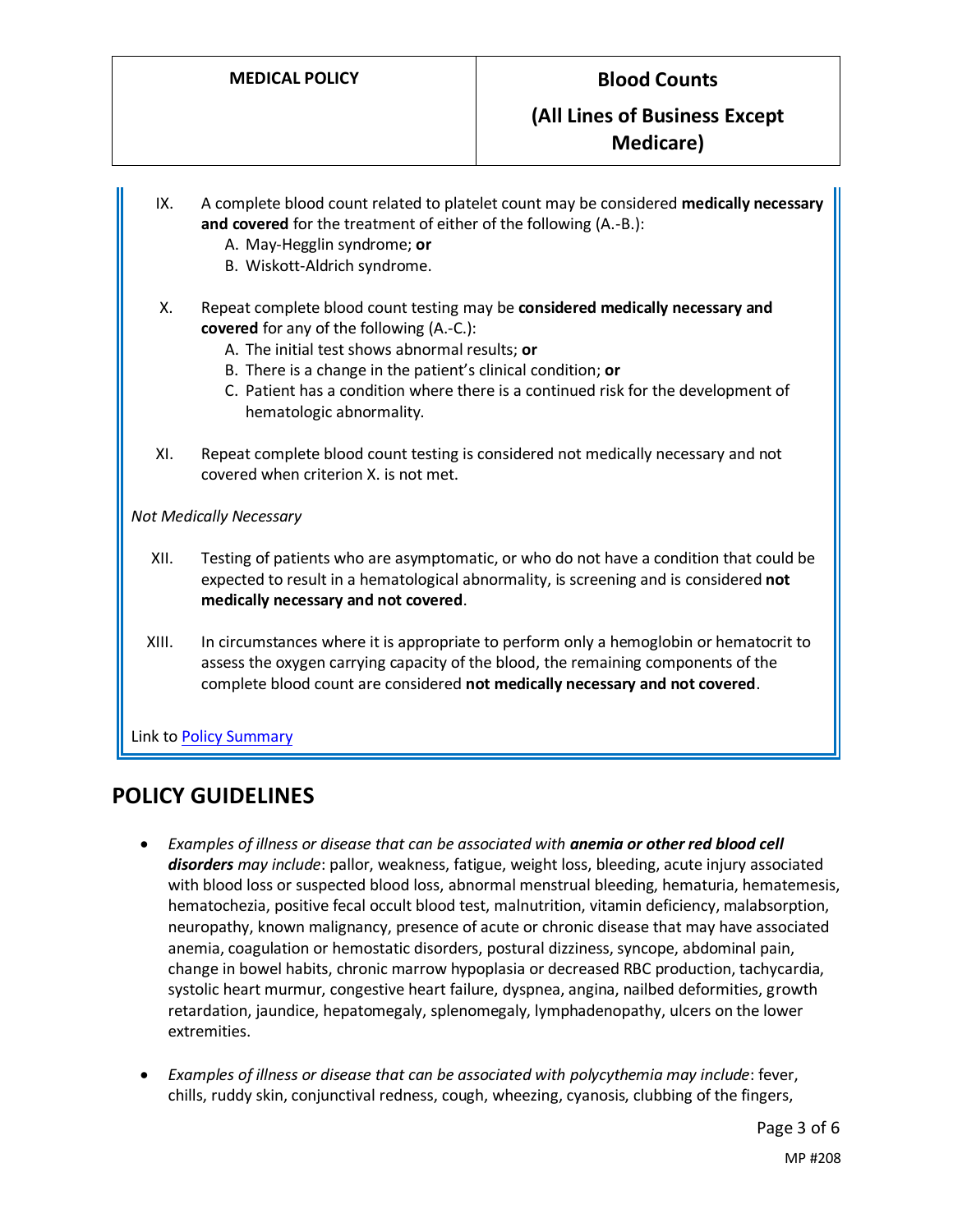#### **(All Lines of Business Except Medicare)**

- IX. A complete blood count related to platelet count may be considered **medically necessary and covered** for the treatment of either of the following (A.-B.):
	- A. May-Hegglin syndrome; **or**
	- B. Wiskott-Aldrich syndrome.
- X. Repeat complete blood count testing may be **considered medically necessary and covered** for any of the following (A.-C.):
	- A. The initial test shows abnormal results; **or**
	- B. There is a change in the patient's clinical condition; **or**
	- C. Patient has a condition where there is a continued risk for the development of hematologic abnormality.
- XI. Repeat complete blood count testing is considered not medically necessary and not covered when criterion X. is not met.

*Not Medically Necessary*

- XII. Testing of patients who are asymptomatic, or who do not have a condition that could be expected to result in a hematological abnormality, is screening and is considered **not medically necessary and not covered**.
- XIII. In circumstances where it is appropriate to perform only a hemoglobin or hematocrit to assess the oxygen carrying capacity of the blood, the remaining components of the complete blood count are considered **not medically necessary and not covered**.

Link to Policy Summary

## **POLICY GUIDELINES**

- <span id="page-2-0"></span>• *Examples of illness or disease that can be associated with anemia or other red blood cell disorders may include*: pallor, weakness, fatigue, weight loss, bleeding, acute injury associated with blood loss or suspected blood loss, abnormal menstrual bleeding, hematuria, hematemesis, hematochezia, positive fecal occult blood test, malnutrition, vitamin deficiency, malabsorption, neuropathy, known malignancy, presence of acute or chronic disease that may have associated anemia, coagulation or hemostatic disorders, postural dizziness, syncope, abdominal pain, change in bowel habits, chronic marrow hypoplasia or decreased RBC production, tachycardia, systolic heart murmur, congestive heart failure, dyspnea, angina, nailbed deformities, growth retardation, jaundice, hepatomegaly, splenomegaly, lymphadenopathy, ulcers on the lower extremities.
- <span id="page-2-1"></span>• *Examples of illness or disease that can be associated with polycythemia may include*: fever, chills, ruddy skin, conjunctival redness, cough, wheezing, cyanosis, clubbing of the fingers,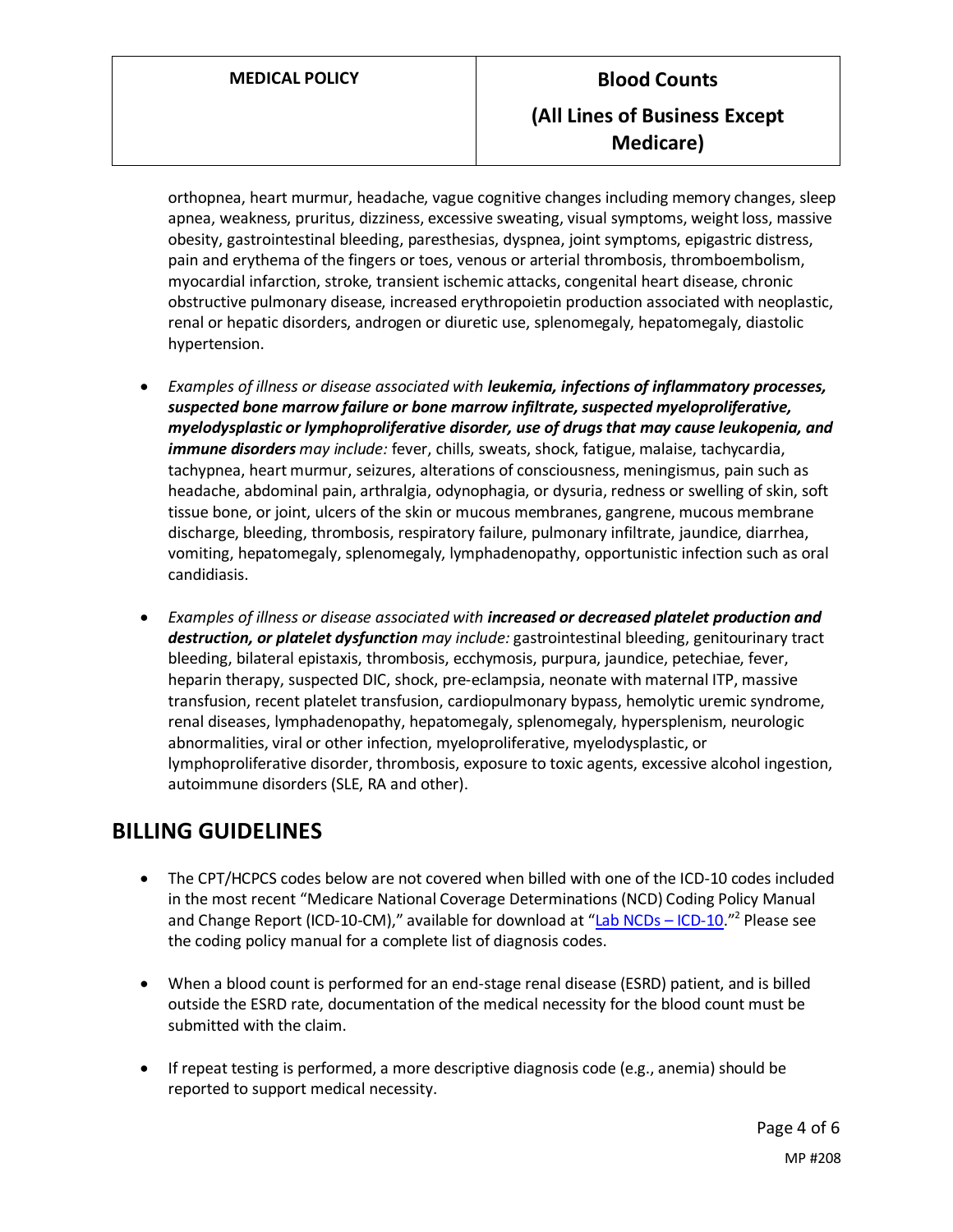orthopnea, heart murmur, headache, vague cognitive changes including memory changes, sleep apnea, weakness, pruritus, dizziness, excessive sweating, visual symptoms, weight loss, massive obesity, gastrointestinal bleeding, paresthesias, dyspnea, joint symptoms, epigastric distress, pain and erythema of the fingers or toes, venous or arterial thrombosis, thromboembolism, myocardial infarction, stroke, transient ischemic attacks, congenital heart disease, chronic obstructive pulmonary disease, increased erythropoietin production associated with neoplastic, renal or hepatic disorders, androgen or diuretic use, splenomegaly, hepatomegaly, diastolic hypertension.

- <span id="page-3-0"></span>• *Examples of illness or disease associated with leukemia, infections of inflammatory processes, suspected bone marrow failure or bone marrow infiltrate, suspected myeloproliferative, myelodysplastic or lymphoproliferative disorder, use of drugs that may cause leukopenia, and immune disorders may include:* fever, chills, sweats, shock, fatigue, malaise, tachycardia, tachypnea, heart murmur, seizures, alterations of consciousness, meningismus, pain such as headache, abdominal pain, arthralgia, odynophagia, or dysuria, redness or swelling of skin, soft tissue bone, or joint, ulcers of the skin or mucous membranes, gangrene, mucous membrane discharge, bleeding, thrombosis, respiratory failure, pulmonary infiltrate, jaundice, diarrhea, vomiting, hepatomegaly, splenomegaly, lymphadenopathy, opportunistic infection such as oral candidiasis.
- <span id="page-3-1"></span>• *Examples of illness or disease associated with increased or decreased platelet production and destruction, or platelet dysfunction may include:* gastrointestinal bleeding, genitourinary tract bleeding, bilateral epistaxis, thrombosis, ecchymosis, purpura, jaundice, petechiae, fever, heparin therapy, suspected DIC, shock, pre-eclampsia, neonate with maternal ITP, massive transfusion, recent platelet transfusion, cardiopulmonary bypass, hemolytic uremic syndrome, renal diseases, lymphadenopathy, hepatomegaly, splenomegaly, hypersplenism, neurologic abnormalities, viral or other infection, myeloproliferative, myelodysplastic, or lymphoproliferative disorder, thrombosis, exposure to toxic agents, excessive alcohol ingestion, autoimmune disorders (SLE, RA and other).

# **BILLING GUIDELINES**

- The CPT/HCPCS codes below are not covered when billed with one of the ICD-10 codes included in the most recent "Medicare National Coverage Determinations (NCD) Coding Policy Manual and Change Report (ICD-10-CM)," available for download at "[Lab NCDs](https://www.cms.gov/Medicare/Coverage/CoverageGenInfo/LabNCDsICD10) – ICD-10."<sup>2</sup> Please see the coding policy manual for a complete list of diagnosis codes.
- When a blood count is performed for an end-stage renal disease (ESRD) patient, and is billed outside the ESRD rate, documentation of the medical necessity for the blood count must be submitted with the claim.
- If repeat testing is performed, a more descriptive diagnosis code (e.g., anemia) should be reported to support medical necessity.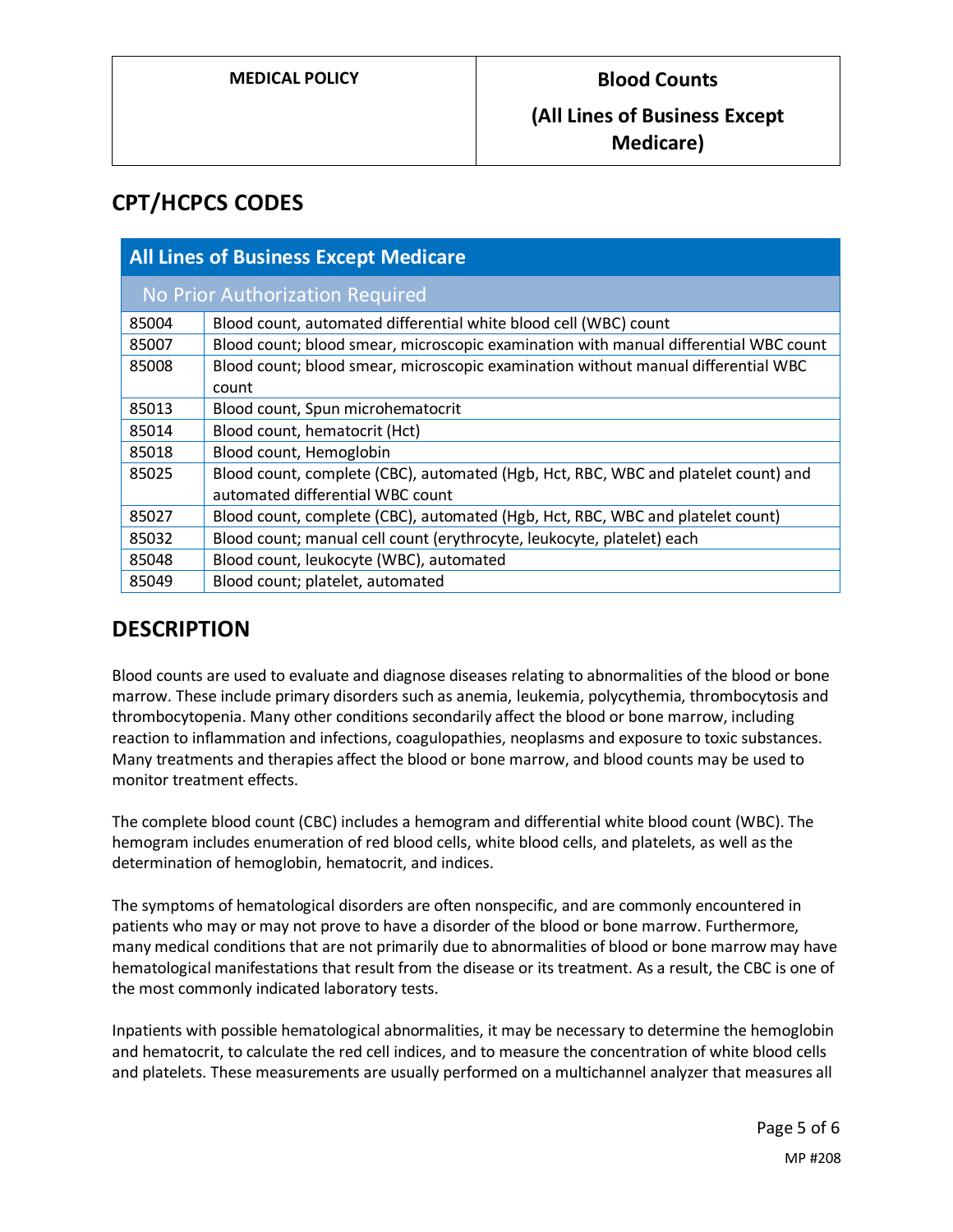## **CPT/HCPCS CODES**

| <b>All Lines of Business Except Medicare</b> |                                                                                                                        |
|----------------------------------------------|------------------------------------------------------------------------------------------------------------------------|
| No Prior Authorization Required              |                                                                                                                        |
| 85004                                        | Blood count, automated differential white blood cell (WBC) count                                                       |
| 85007                                        | Blood count; blood smear, microscopic examination with manual differential WBC count                                   |
| 85008                                        | Blood count; blood smear, microscopic examination without manual differential WBC<br>count                             |
| 85013                                        | Blood count, Spun microhematocrit                                                                                      |
| 85014                                        | Blood count, hematocrit (Hct)                                                                                          |
| 85018                                        | Blood count, Hemoglobin                                                                                                |
| 85025                                        | Blood count, complete (CBC), automated (Hgb, Hct, RBC, WBC and platelet count) and<br>automated differential WBC count |
| 85027                                        | Blood count, complete (CBC), automated (Hgb, Hct, RBC, WBC and platelet count)                                         |
| 85032                                        | Blood count; manual cell count (erythrocyte, leukocyte, platelet) each                                                 |
| 85048                                        | Blood count, leukocyte (WBC), automated                                                                                |
| 85049                                        | Blood count; platelet, automated                                                                                       |

## **DESCRIPTION**

Blood counts are used to evaluate and diagnose diseases relating to abnormalities of the blood or bone marrow. These include primary disorders such as anemia, leukemia, polycythemia, thrombocytosis and thrombocytopenia. Many other conditions secondarily affect the blood or bone marrow, including reaction to inflammation and infections, coagulopathies, neoplasms and exposure to toxic substances. Many treatments and therapies affect the blood or bone marrow, and blood counts may be used to monitor treatment effects.

The complete blood count (CBC) includes a hemogram and differential white blood count (WBC). The hemogram includes enumeration of red blood cells, white blood cells, and platelets, as well as the determination of hemoglobin, hematocrit, and indices.

The symptoms of hematological disorders are often nonspecific, and are commonly encountered in patients who may or may not prove to have a disorder of the blood or bone marrow. Furthermore, many medical conditions that are not primarily due to abnormalities of blood or bone marrow may have hematological manifestations that result from the disease or its treatment. As a result, the CBC is one of the most commonly indicated laboratory tests.

Inpatients with possible hematological abnormalities, it may be necessary to determine the hemoglobin and hematocrit, to calculate the red cell indices, and to measure the concentration of white blood cells and platelets. These measurements are usually performed on a multichannel analyzer that measures all